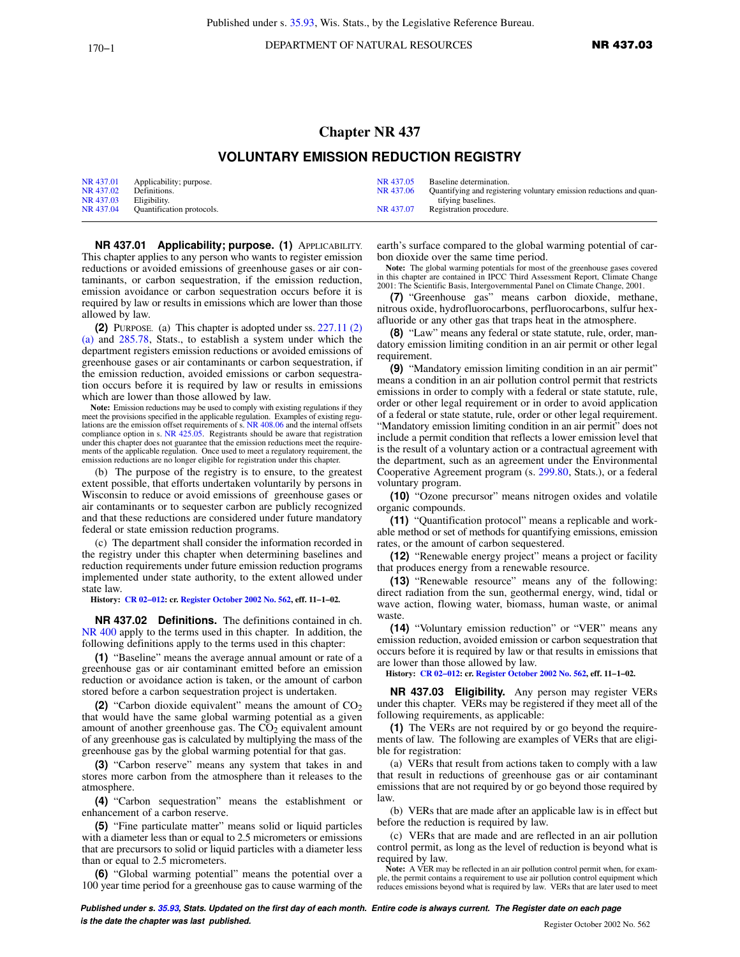170−1 **DEPARTMENT OF NATURAL RESOURCES NR 437.03** 

## **Chapter NR 437 VOLUNTARY EMISSION REDUCTION REGISTRY**

|           | NR 437.01 Applicability; purpose. | NR 437.05 | Baseline determination.                                             |
|-----------|-----------------------------------|-----------|---------------------------------------------------------------------|
| NR 437.02 | Definitions.                      | NR 437.06 | Quantifying and registering voluntary emission reductions and quan- |
| NR 437.03 | Eligibility.                      |           | tifving baselines.                                                  |
| NR 437.04 | <b>Ouantification protocols.</b>  | NR 437.07 | Registration procedure.                                             |

**NR 437.01 Applicability; purpose. (1)** APPLICABILITY. This chapter applies to any person who wants to register emission reductions or avoided emissions of greenhouse gases or air contaminants, or carbon sequestration, if the emission reduction, emission avoidance or carbon sequestration occurs before it is required by law or results in emissions which are lower than those allowed by law.

**(2)** PURPOSE. (a) This chapter is adopted under ss. [227.11 \(2\)](https://docs-preview.legis.wisconsin.gov/document/statutes/227.11(2)(a)) [\(a\)](https://docs-preview.legis.wisconsin.gov/document/statutes/227.11(2)(a)) and [285.78](https://docs-preview.legis.wisconsin.gov/document/statutes/285.78), Stats., to establish a system under which the department registers emission reductions or avoided emissions of greenhouse gases or air contaminants or carbon sequestration, if the emission reduction, avoided emissions or carbon sequestration occurs before it is required by law or results in emissions which are lower than those allowed by law.

**Note:** Emission reductions may be used to comply with existing regulations if they meet the provisions specified in the applicable regulation. Examples of existing regulations are the emission offset requirements of s. [NR 408.06](https://docs-preview.legis.wisconsin.gov/document/administrativecode/NR%20408.06) and the internal offsets compliance option in s. [NR 425.05](https://docs-preview.legis.wisconsin.gov/document/administrativecode/NR%20425.05). Registrants shou under this chapter does not guarantee that the emission reductions meet the requirements of the applicable regulation. Once used to meet a regulatory requirement, the emission reductions are no longer eligible for registration under this chapter.

(b) The purpose of the registry is to ensure, to the greatest extent possible, that efforts undertaken voluntarily by persons in Wisconsin to reduce or avoid emissions of greenhouse gases or air contaminants or to sequester carbon are publicly recognized and that these reductions are considered under future mandatory federal or state emission reduction programs.

(c) The department shall consider the information recorded in the registry under this chapter when determining baselines and reduction requirements under future emission reduction programs implemented under state authority, to the extent allowed under state law.

**History: [CR 02−012](https://docs-preview.legis.wisconsin.gov/document/cr/2002/12): cr. [Register October 2002 No. 562,](https://docs-preview.legis.wisconsin.gov/document/register/562/B/toc) eff. 11−1−02.**

**NR 437.02 Definitions.** The definitions contained in ch. [NR 400](https://docs-preview.legis.wisconsin.gov/document/administrativecode/ch.%20NR%20400) apply to the terms used in this chapter. In addition, the following definitions apply to the terms used in this chapter:

**(1)** "Baseline" means the average annual amount or rate of a greenhouse gas or air contaminant emitted before an emission reduction or avoidance action is taken, or the amount of carbon stored before a carbon sequestration project is undertaken.

**(2)** "Carbon dioxide equivalent" means the amount of  $CO<sub>2</sub>$ that would have the same global warming potential as a given amount of another greenhouse gas. The  $CO<sub>2</sub>$  equivalent amount of any greenhouse gas is calculated by multiplying the mass of the greenhouse gas by the global warming potential for that gas.

**(3)** "Carbon reserve" means any system that takes in and stores more carbon from the atmosphere than it releases to the atmosphere.

**(4)** "Carbon sequestration" means the establishment or enhancement of a carbon reserve.

**(5)** "Fine particulate matter" means solid or liquid particles with a diameter less than or equal to 2.5 micrometers or emissions that are precursors to solid or liquid particles with a diameter less than or equal to 2.5 micrometers.

**(6)** "Global warming potential" means the potential over a 100 year time period for a greenhouse gas to cause warming of the

earth's surface compared to the global warming potential of carbon dioxide over the same time period.

**Note:** The global warming potentials for most of the greenhouse gases covered in this chapter are contained in IPCC Third Assessment Report, Climate Change 2001: The Scientific Basis, Intergovernmental Panel on Climate Change, 2001.

**(7)** "Greenhouse gas" means carbon dioxide, methane, nitrous oxide, hydrofluorocarbons, perfluorocarbons, sulfur hexafluoride or any other gas that traps heat in the atmosphere.

**(8)** "Law" means any federal or state statute, rule, order, mandatory emission limiting condition in an air permit or other legal requirement.

**(9)** "Mandatory emission limiting condition in an air permit" means a condition in an air pollution control permit that restricts emissions in order to comply with a federal or state statute, rule, order or other legal requirement or in order to avoid application of a federal or state statute, rule, order or other legal requirement. "Mandatory emission limiting condition in an air permit" does not include a permit condition that reflects a lower emission level that is the result of a voluntary action or a contractual agreement with the department, such as an agreement under the Environmental Cooperative Agreement program (s. [299.80,](https://docs-preview.legis.wisconsin.gov/document/statutes/299.80) Stats.), or a federal voluntary program.

**(10)** "Ozone precursor" means nitrogen oxides and volatile organic compounds.

**(11)** "Quantification protocol" means a replicable and workable method or set of methods for quantifying emissions, emission rates, or the amount of carbon sequestered.

**(12)** "Renewable energy project" means a project or facility that produces energy from a renewable resource.

**(13)** "Renewable resource" means any of the following: direct radiation from the sun, geothermal energy, wind, tidal or wave action, flowing water, biomass, human waste, or animal waste.

**(14)** "Voluntary emission reduction" or "VER" means any emission reduction, avoided emission or carbon sequestration that occurs before it is required by law or that results in emissions that are lower than those allowed by law.

**History: [CR 02−012:](https://docs-preview.legis.wisconsin.gov/document/cr/2002/12) cr. [Register October 2002 No. 562](https://docs-preview.legis.wisconsin.gov/document/register/562/B/toc), eff. 11−1−02.**

**NR 437.03 Eligibility.** Any person may register VERs under this chapter. VERs may be registered if they meet all of the following requirements, as applicable:

**(1)** The VERs are not required by or go beyond the requirements of law. The following are examples of VERs that are eligible for registration:

(a) VERs that result from actions taken to comply with a law that result in reductions of greenhouse gas or air contaminant emissions that are not required by or go beyond those required by law.

(b) VERs that are made after an applicable law is in effect but before the reduction is required by law.

(c) VERs that are made and are reflected in an air pollution control permit, as long as the level of reduction is beyond what is required by law.

**Note:** A VER may be reflected in an air pollution control permit when, for example, the permit contains a requirement to use air pollution control equipment which reduces emissions beyond what is required by law. VERs that are later used to meet

**Published under s. [35.93,](https://docs-preview.legis.wisconsin.gov/document/statutes/35.93) Stats. Updated on the first day of each month. Entire code is always current. The Register date on each page is the date the chapter was last published. is the date the chapter was last published.** Register October 2002 No. 562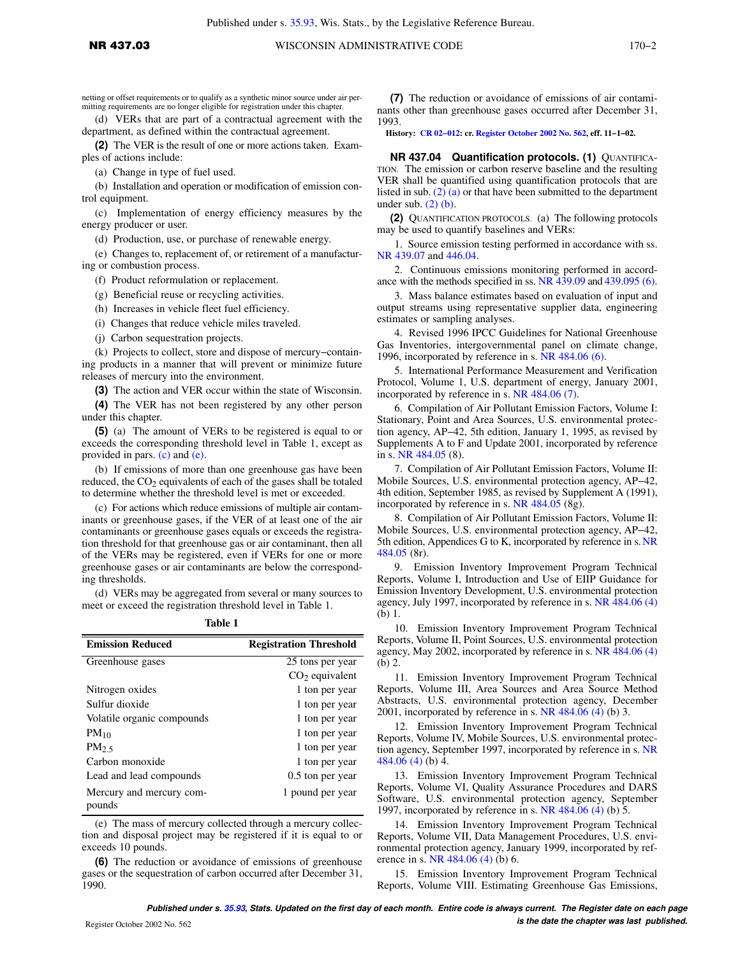netting or offset requirements or to qualify as a synthetic minor source under air permitting requirements are no longer eligible for registration under this chapter.

(d) VERs that are part of a contractual agreement with the department, as defined within the contractual agreement.

**(2)** The VER is the result of one or more actions taken. Examples of actions include:

(a) Change in type of fuel used.

(b) Installation and operation or modification of emission control equipment.

(c) Implementation of energy efficiency measures by the energy producer or user.

(d) Production, use, or purchase of renewable energy.

(e) Changes to, replacement of, or retirement of a manufacturing or combustion process.

(f) Product reformulation or replacement.

(g) Beneficial reuse or recycling activities.

(h) Increases in vehicle fleet fuel efficiency.

(i) Changes that reduce vehicle miles traveled.

(j) Carbon sequestration projects.

(k) Projects to collect, store and dispose of mercury−containing products in a manner that will prevent or minimize future releases of mercury into the environment.

**(3)** The action and VER occur within the state of Wisconsin.

**(4)** The VER has not been registered by any other person under this chapter.

**(5)** (a) The amount of VERs to be registered is equal to or exceeds the corresponding threshold level in Table 1, except as provided in pars. [\(c\)](https://docs-preview.legis.wisconsin.gov/document/administrativecode/NR%20437.03(5)(c)) and [\(e\).](https://docs-preview.legis.wisconsin.gov/document/administrativecode/NR%20437.03(5)(e))

(b) If emissions of more than one greenhouse gas have been reduced, the  $CO<sub>2</sub>$  equivalents of each of the gases shall be totaled to determine whether the threshold level is met or exceeded.

(c) For actions which reduce emissions of multiple air contaminants or greenhouse gases, if the VER of at least one of the air contaminants or greenhouse gases equals or exceeds the registration threshold for that greenhouse gas or air contaminant, then all of the VERs may be registered, even if VERs for one or more greenhouse gases or air contaminants are below the corresponding thresholds.

(d) VERs may be aggregated from several or many sources to meet or exceed the registration threshold level in Table 1.

**Table 1**

| <b>Emission Reduced</b>            | <b>Registration Threshold</b> |
|------------------------------------|-------------------------------|
| Greenhouse gases                   | 25 tons per year              |
|                                    | $CO2$ equivalent              |
| Nitrogen oxides                    | 1 ton per year                |
| Sulfur dioxide                     | 1 ton per year                |
| Volatile organic compounds         | 1 ton per year                |
| $PM_{10}$                          | 1 ton per year                |
| $PM_2$                             | 1 ton per year                |
| Carbon monoxide                    | 1 ton per year                |
| Lead and lead compounds            | 0.5 ton per year              |
| Mercury and mercury com-<br>pounds | 1 pound per year              |

(e) The mass of mercury collected through a mercury collection and disposal project may be registered if it is equal to or exceeds 10 pounds.

**(6)** The reduction or avoidance of emissions of greenhouse gases or the sequestration of carbon occurred after December 31, 1990.

**(7)** The reduction or avoidance of emissions of air contaminants other than greenhouse gases occurred after December 31, 1993.

**History: [CR 02−012:](https://docs-preview.legis.wisconsin.gov/document/cr/2002/12) cr. [Register October 2002 No. 562](https://docs-preview.legis.wisconsin.gov/document/register/562/B/toc), eff. 11−1−02.**

**NR 437.04 Quantification protocols. (1)** QUANTIFICA-TION. The emission or carbon reserve baseline and the resulting VER shall be quantified using quantification protocols that are listed in sub. [\(2\) \(a\)](https://docs-preview.legis.wisconsin.gov/document/administrativecode/NR%20437.04(2)(a)) or that have been submitted to the department under sub.  $(2)$  (b).

**(2)** QUANTIFICATION PROTOCOLS. (a) The following protocols may be used to quantify baselines and VERs:

1. Source emission testing performed in accordance with ss. [NR 439.07](https://docs-preview.legis.wisconsin.gov/document/administrativecode/NR%20439.07) and [446.04](https://docs-preview.legis.wisconsin.gov/document/administrativecode/NR%20446.04).

2. Continuous emissions monitoring performed in accordance with the methods specified in ss. [NR 439.09](https://docs-preview.legis.wisconsin.gov/document/administrativecode/NR%20439.09) and [439.095 \(6\).](https://docs-preview.legis.wisconsin.gov/document/administrativecode/NR%20439.095(6))

3. Mass balance estimates based on evaluation of input and output streams using representative supplier data, engineering estimates or sampling analyses.

4. Revised 1996 IPCC Guidelines for National Greenhouse Gas Inventories, intergovernmental panel on climate change, 1996, incorporated by reference in s. [NR 484.06 \(6\).](https://docs-preview.legis.wisconsin.gov/document/administrativecode/NR%20484.06(6))

5. International Performance Measurement and Verification Protocol, Volume 1, U.S. department of energy, January 2001, incorporated by reference in s. [NR 484.06 \(7\)](https://docs-preview.legis.wisconsin.gov/document/administrativecode/NR%20484.06(7)).

6. Compilation of Air Pollutant Emission Factors, Volume I: Stationary, Point and Area Sources, U.S. environmental protection agency, AP−42, 5th edition, January 1, 1995, as revised by Supplements A to F and Update 2001, incorporated by reference in s. [NR 484.05](https://docs-preview.legis.wisconsin.gov/document/administrativecode/NR%20484.05) (8).

7. Compilation of Air Pollutant Emission Factors, Volume II: Mobile Sources, U.S. environmental protection agency, AP−42, 4th edition, September 1985, as revised by Supplement A (1991), incorporated by reference in s. [NR 484.05](https://docs-preview.legis.wisconsin.gov/document/administrativecode/NR%20484.05) (8g).

8. Compilation of Air Pollutant Emission Factors, Volume II: Mobile Sources, U.S. environmental protection agency, AP−42, 5th edition, Appendices G to K, incorporated by reference in s. [NR](https://docs-preview.legis.wisconsin.gov/document/administrativecode/NR%20484.05) [484.05](https://docs-preview.legis.wisconsin.gov/document/administrativecode/NR%20484.05) (8r).

9. Emission Inventory Improvement Program Technical Reports, Volume I, Introduction and Use of EIIP Guidance for Emission Inventory Development, U.S. environmental protection agency, July 1997, incorporated by reference in s. [NR 484.06 \(4\)](https://docs-preview.legis.wisconsin.gov/document/administrativecode/NR%20484.06(4)) (b) 1.

10. Emission Inventory Improvement Program Technical Reports, Volume II, Point Sources, U.S. environmental protection agency, May 2002, incorporated by reference in s. [NR 484.06 \(4\)](https://docs-preview.legis.wisconsin.gov/document/administrativecode/NR%20484.06(4)) (b) 2.

11. Emission Inventory Improvement Program Technical Reports, Volume III, Area Sources and Area Source Method Abstracts, U.S. environmental protection agency, December 2001, incorporated by reference in s. [NR 484.06 \(4\)](https://docs-preview.legis.wisconsin.gov/document/administrativecode/NR%20484.06(4)) (b) 3.

12. Emission Inventory Improvement Program Technical Reports, Volume IV, Mobile Sources, U.S. environmental protection agency, September 1997, incorporated by reference in s. [NR](https://docs-preview.legis.wisconsin.gov/document/administrativecode/NR%20484.06(4)) [484.06 \(4\)](https://docs-preview.legis.wisconsin.gov/document/administrativecode/NR%20484.06(4)) (b) 4.

13. Emission Inventory Improvement Program Technical Reports, Volume VI, Quality Assurance Procedures and DARS Software, U.S. environmental protection agency, September 1997, incorporated by reference in s. [NR 484.06 \(4\)](https://docs-preview.legis.wisconsin.gov/document/administrativecode/NR%20484.06(4)) (b) 5.

14. Emission Inventory Improvement Program Technical Reports, Volume VII, Data Management Procedures, U.S. environmental protection agency, January 1999, incorporated by reference in s. [NR 484.06 \(4\)](https://docs-preview.legis.wisconsin.gov/document/administrativecode/NR%20484.06(4)) (b) 6.

15. Emission Inventory Improvement Program Technical Reports, Volume VIII. Estimating Greenhouse Gas Emissions,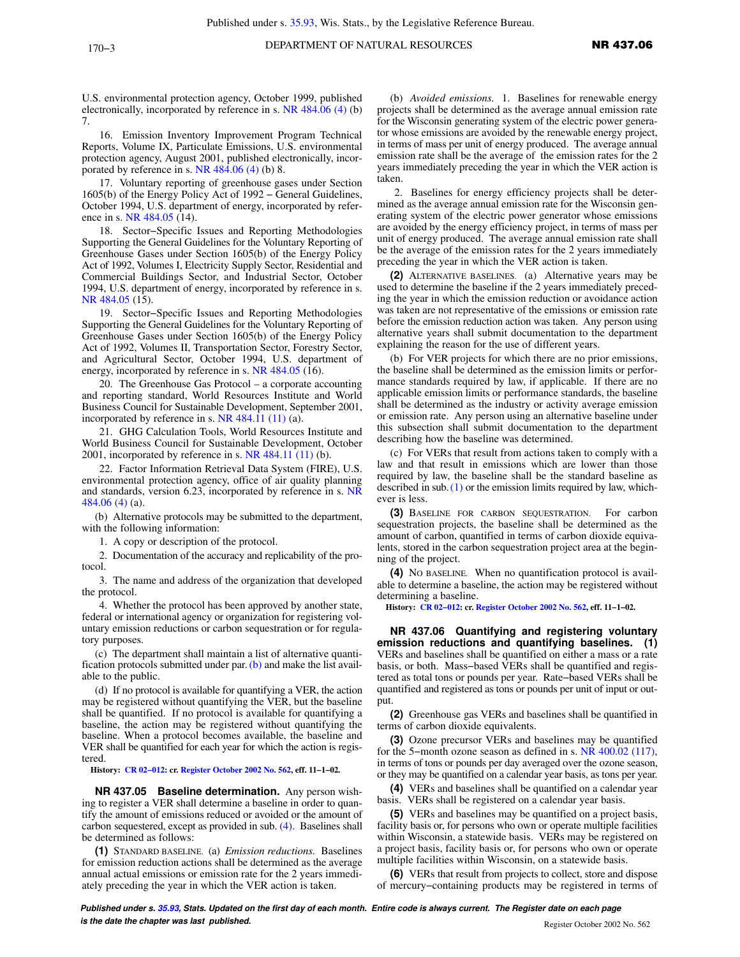U.S. environmental protection agency, October 1999, published electronically, incorporated by reference in s. [NR 484.06 \(4\)](https://docs-preview.legis.wisconsin.gov/document/administrativecode/NR%20484.06(4)) (b) 7.

16. Emission Inventory Improvement Program Technical Reports, Volume IX, Particulate Emissions, U.S. environmental protection agency, August 2001, published electronically, incorporated by reference in s. [NR 484.06 \(4\)](https://docs-preview.legis.wisconsin.gov/document/administrativecode/NR%20484.06(4)) (b) 8.

17. Voluntary reporting of greenhouse gases under Section 1605(b) of the Energy Policy Act of 1992 − General Guidelines, October 1994, U.S. department of energy, incorporated by reference in s. [NR 484.05](https://docs-preview.legis.wisconsin.gov/document/administrativecode/NR%20484.05) (14).

18. Sector−Specific Issues and Reporting Methodologies Supporting the General Guidelines for the Voluntary Reporting of Greenhouse Gases under Section 1605(b) of the Energy Policy Act of 1992, Volumes I, Electricity Supply Sector, Residential and Commercial Buildings Sector, and Industrial Sector, October 1994, U.S. department of energy, incorporated by reference in s. [NR 484.05](https://docs-preview.legis.wisconsin.gov/document/administrativecode/NR%20484.05) (15).

19. Sector−Specific Issues and Reporting Methodologies Supporting the General Guidelines for the Voluntary Reporting of Greenhouse Gases under Section 1605(b) of the Energy Policy Act of 1992, Volumes II, Transportation Sector, Forestry Sector, and Agricultural Sector, October 1994, U.S. department of energy, incorporated by reference in s. [NR 484.05](https://docs-preview.legis.wisconsin.gov/document/administrativecode/NR%20484.05) (16).

20. The Greenhouse Gas Protocol – a corporate accounting and reporting standard, World Resources Institute and World Business Council for Sustainable Development, September 2001, incorporated by reference in s.  $NR$  484.11 (11) (a).

21. GHG Calculation Tools, World Resources Institute and World Business Council for Sustainable Development, October 2001, incorporated by reference in s. [NR 484.11 \(11\)](https://docs-preview.legis.wisconsin.gov/document/administrativecode/NR%20484.11(11)) (b).

22. Factor Information Retrieval Data System (FIRE), U.S. environmental protection agency, office of air quality planning and standards, version 6.23, incorporated by reference in s. [NR](https://docs-preview.legis.wisconsin.gov/document/administrativecode/NR%20484.06(4)) [484.06 \(4\)](https://docs-preview.legis.wisconsin.gov/document/administrativecode/NR%20484.06(4)) (a).

(b) Alternative protocols may be submitted to the department, with the following information:

1. A copy or description of the protocol.

2. Documentation of the accuracy and replicability of the protocol.

3. The name and address of the organization that developed the protocol.

4. Whether the protocol has been approved by another state, federal or international agency or organization for registering voluntary emission reductions or carbon sequestration or for regulatory purposes.

(c) The department shall maintain a list of alternative quantification protocols submitted under par.  $(b)$  and make the list available to the public.

(d) If no protocol is available for quantifying a VER, the action may be registered without quantifying the VER, but the baseline shall be quantified. If no protocol is available for quantifying a baseline, the action may be registered without quantifying the baseline. When a protocol becomes available, the baseline and VER shall be quantified for each year for which the action is registered.

**History: [CR 02−012](https://docs-preview.legis.wisconsin.gov/document/cr/2002/12): cr. [Register October 2002 No. 562,](https://docs-preview.legis.wisconsin.gov/document/register/562/B/toc) eff. 11−1−02.**

**NR 437.05 Baseline determination.** Any person wishing to register a VER shall determine a baseline in order to quantify the amount of emissions reduced or avoided or the amount of carbon sequestered, except as provided in sub. [\(4\).](https://docs-preview.legis.wisconsin.gov/document/administrativecode/NR%20437.05(4)) Baselines shall be determined as follows:

**(1)** STANDARD BASELINE. (a) *Emission reductions.* Baselines for emission reduction actions shall be determined as the average annual actual emissions or emission rate for the 2 years immediately preceding the year in which the VER action is taken.

(b) *Avoided emissions.* 1. Baselines for renewable energy projects shall be determined as the average annual emission rate for the Wisconsin generating system of the electric power generator whose emissions are avoided by the renewable energy project, in terms of mass per unit of energy produced. The average annual emission rate shall be the average of the emission rates for the 2 years immediately preceding the year in which the VER action is taken.

2. Baselines for energy efficiency projects shall be determined as the average annual emission rate for the Wisconsin generating system of the electric power generator whose emissions are avoided by the energy efficiency project, in terms of mass per unit of energy produced. The average annual emission rate shall be the average of the emission rates for the 2 years immediately preceding the year in which the VER action is taken.

**(2)** ALTERNATIVE BASELINES. (a) Alternative years may be used to determine the baseline if the 2 years immediately preceding the year in which the emission reduction or avoidance action was taken are not representative of the emissions or emission rate before the emission reduction action was taken. Any person using alternative years shall submit documentation to the department explaining the reason for the use of different years.

(b) For VER projects for which there are no prior emissions, the baseline shall be determined as the emission limits or performance standards required by law, if applicable. If there are no applicable emission limits or performance standards, the baseline shall be determined as the industry or activity average emission or emission rate. Any person using an alternative baseline under this subsection shall submit documentation to the department describing how the baseline was determined.

(c) For VERs that result from actions taken to comply with a law and that result in emissions which are lower than those required by law, the baseline shall be the standard baseline as described in sub.  $(1)$  or the emission limits required by law, whichever is less.

**(3)** BASELINE FOR CARBON SEQUESTRATION. For carbon sequestration projects, the baseline shall be determined as the amount of carbon, quantified in terms of carbon dioxide equivalents, stored in the carbon sequestration project area at the beginning of the project.

**(4)** NO BASELINE. When no quantification protocol is available to determine a baseline, the action may be registered without determining a baseline.

**History: [CR 02−012:](https://docs-preview.legis.wisconsin.gov/document/cr/2002/12) cr. [Register October 2002 No. 562](https://docs-preview.legis.wisconsin.gov/document/register/562/B/toc), eff. 11−1−02.**

**NR 437.06 Quantifying and registering voluntary emission reductions and quantifying baselines. (1)** VERs and baselines shall be quantified on either a mass or a rate basis, or both. Mass−based VERs shall be quantified and registered as total tons or pounds per year. Rate−based VERs shall be quantified and registered as tons or pounds per unit of input or output.

**(2)** Greenhouse gas VERs and baselines shall be quantified in terms of carbon dioxide equivalents.

**(3)** Ozone precursor VERs and baselines may be quantified for the 5−month ozone season as defined in s. [NR 400.02 \(117\),](https://docs-preview.legis.wisconsin.gov/document/administrativecode/NR%20400.02(117)) in terms of tons or pounds per day averaged over the ozone season, or they may be quantified on a calendar year basis, as tons per year.

**(4)** VERs and baselines shall be quantified on a calendar year basis. VERs shall be registered on a calendar year basis.

**(5)** VERs and baselines may be quantified on a project basis, facility basis or, for persons who own or operate multiple facilities within Wisconsin, a statewide basis. VERs may be registered on a project basis, facility basis or, for persons who own or operate multiple facilities within Wisconsin, on a statewide basis.

**(6)** VERs that result from projects to collect, store and dispose of mercury−containing products may be registered in terms of

**Published under s. [35.93,](https://docs-preview.legis.wisconsin.gov/document/statutes/35.93) Stats. Updated on the first day of each month. Entire code is always current. The Register date on each page is the date the chapter was last published. Compared All Compared All Compared All Compared All Compared All Compared All Compared All Compared Register October 2002 No. 562**